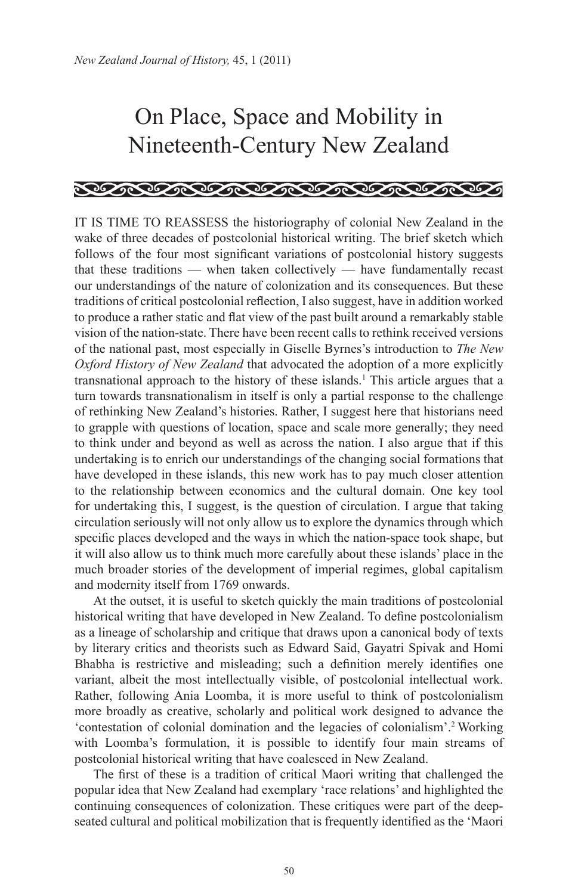# On Place, Space and Mobility in Nineteenth-Century New Zealand

## <u> NIRIKI KIRIKIKIKO M</u>

IT IS TIME TO REASSESS the historiography of colonial New Zealand in the wake of three decades of postcolonial historical writing. The brief sketch which follows of the four most significant variations of postcolonial history suggests that these traditions — when taken collectively — have fundamentally recast our understandings of the nature of colonization and its consequences. But these traditions of critical postcolonial reflection, I also suggest, have in addition worked to produce a rather static and flat view of the past built around a remarkably stable vision of the nation-state. There have been recent calls to rethink received versions of the national past, most especially in Giselle Byrnes's introduction to *The New Oxford History of New Zealand* that advocated the adoption of a more explicitly transnational approach to the history of these islands.<sup>1</sup> This article argues that a turn towards transnationalism in itself is only a partial response to the challenge of rethinking New Zealand's histories. Rather, I suggest here that historians need to grapple with questions of location, space and scale more generally; they need to think under and beyond as well as across the nation. I also argue that if this undertaking is to enrich our understandings of the changing social formations that have developed in these islands, this new work has to pay much closer attention to the relationship between economics and the cultural domain. One key tool for undertaking this, I suggest, is the question of circulation. I argue that taking circulation seriously will not only allow us to explore the dynamics through which specific places developed and the ways in which the nation-space took shape, but it will also allow us to think much more carefully about these islands' place in the much broader stories of the development of imperial regimes, global capitalism and modernity itself from 1769 onwards.

At the outset, it is useful to sketch quickly the main traditions of postcolonial historical writing that have developed in New Zealand. To define postcolonialism as a lineage of scholarship and critique that draws upon a canonical body of texts by literary critics and theorists such as Edward Said, Gayatri Spivak and Homi Bhabha is restrictive and misleading; such a definition merely identifies one variant, albeit the most intellectually visible, of postcolonial intellectual work. Rather, following Ania Loomba, it is more useful to think of postcolonialism more broadly as creative, scholarly and political work designed to advance the 'contestation of colonial domination and the legacies of colonialism'.2 Working with Loomba's formulation, it is possible to identify four main streams of postcolonial historical writing that have coalesced in New Zealand.

The first of these is a tradition of critical Maori writing that challenged the popular idea that New Zealand had exemplary 'race relations' and highlighted the continuing consequences of colonization. These critiques were part of the deepseated cultural and political mobilization that is frequently identified as the 'Maori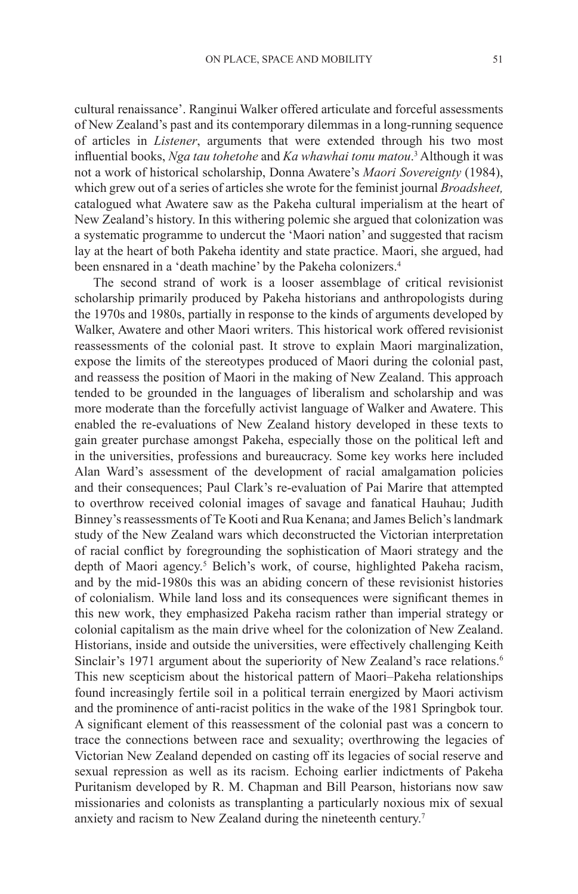cultural renaissance'. Ranginui Walker offered articulate and forceful assessments of New Zealand's past and its contemporary dilemmas in a long-running sequence of articles in *Listener*, arguments that were extended through his two most influential books, *Nga tau tohetohe* and *Ka whawhai tonu matou*. 3 Although it was not a work of historical scholarship, Donna Awatere's *Maori Sovereignty* (1984), which grew out of a series of articles she wrote for the feminist journal *Broadsheet,*  catalogued what Awatere saw as the Pakeha cultural imperialism at the heart of New Zealand's history. In this withering polemic she argued that colonization was a systematic programme to undercut the 'Maori nation' and suggested that racism lay at the heart of both Pakeha identity and state practice. Maori, she argued, had been ensnared in a 'death machine' by the Pakeha colonizers.<sup>4</sup>

The second strand of work is a looser assemblage of critical revisionist scholarship primarily produced by Pakeha historians and anthropologists during the 1970s and 1980s, partially in response to the kinds of arguments developed by Walker, Awatere and other Maori writers. This historical work offered revisionist reassessments of the colonial past. It strove to explain Maori marginalization, expose the limits of the stereotypes produced of Maori during the colonial past, and reassess the position of Maori in the making of New Zealand. This approach tended to be grounded in the languages of liberalism and scholarship and was more moderate than the forcefully activist language of Walker and Awatere. This enabled the re-evaluations of New Zealand history developed in these texts to gain greater purchase amongst Pakeha, especially those on the political left and in the universities, professions and bureaucracy. Some key works here included Alan Ward's assessment of the development of racial amalgamation policies and their consequences; Paul Clark's re-evaluation of Pai Marire that attempted to overthrow received colonial images of savage and fanatical Hauhau; Judith Binney's reassessments of Te Kooti and Rua Kenana; and James Belich's landmark study of the New Zealand wars which deconstructed the Victorian interpretation of racial conflict by foregrounding the sophistication of Maori strategy and the depth of Maori agency.<sup>5</sup> Belich's work, of course, highlighted Pakeha racism, and by the mid-1980s this was an abiding concern of these revisionist histories of colonialism. While land loss and its consequences were significant themes in this new work, they emphasized Pakeha racism rather than imperial strategy or colonial capitalism as the main drive wheel for the colonization of New Zealand. Historians, inside and outside the universities, were effectively challenging Keith Sinclair's 1971 argument about the superiority of New Zealand's race relations.<sup>6</sup> This new scepticism about the historical pattern of Maori–Pakeha relationships found increasingly fertile soil in a political terrain energized by Maori activism and the prominence of anti-racist politics in the wake of the 1981 Springbok tour. A significant element of this reassessment of the colonial past was a concern to trace the connections between race and sexuality; overthrowing the legacies of Victorian New Zealand depended on casting off its legacies of social reserve and sexual repression as well as its racism. Echoing earlier indictments of Pakeha Puritanism developed by R. M. Chapman and Bill Pearson, historians now saw missionaries and colonists as transplanting a particularly noxious mix of sexual anxiety and racism to New Zealand during the nineteenth century.7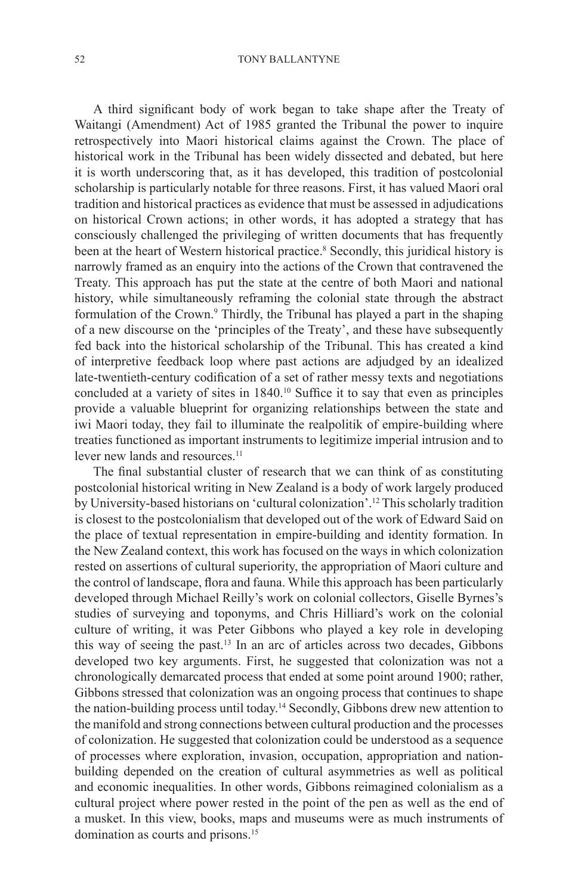A third significant body of work began to take shape after the Treaty of Waitangi (Amendment) Act of 1985 granted the Tribunal the power to inquire retrospectively into Maori historical claims against the Crown. The place of historical work in the Tribunal has been widely dissected and debated, but here it is worth underscoring that, as it has developed, this tradition of postcolonial scholarship is particularly notable for three reasons. First, it has valued Maori oral tradition and historical practices as evidence that must be assessed in adjudications on historical Crown actions; in other words, it has adopted a strategy that has consciously challenged the privileging of written documents that has frequently been at the heart of Western historical practice.<sup>8</sup> Secondly, this juridical history is narrowly framed as an enquiry into the actions of the Crown that contravened the Treaty. This approach has put the state at the centre of both Maori and national history, while simultaneously reframing the colonial state through the abstract formulation of the Crown.<sup>9</sup> Thirdly, the Tribunal has played a part in the shaping of a new discourse on the 'principles of the Treaty', and these have subsequently fed back into the historical scholarship of the Tribunal. This has created a kind of interpretive feedback loop where past actions are adjudged by an idealized late-twentieth-century codification of a set of rather messy texts and negotiations concluded at a variety of sites in 1840.<sup>10</sup> Suffice it to say that even as principles provide a valuable blueprint for organizing relationships between the state and iwi Maori today, they fail to illuminate the realpolitik of empire-building where treaties functioned as important instruments to legitimize imperial intrusion and to lever new lands and resources.<sup>11</sup>

The final substantial cluster of research that we can think of as constituting postcolonial historical writing in New Zealand is a body of work largely produced by University-based historians on 'cultural colonization'.12 This scholarly tradition is closest to the postcolonialism that developed out of the work of Edward Said on the place of textual representation in empire-building and identity formation. In the New Zealand context, this work has focused on the ways in which colonization rested on assertions of cultural superiority, the appropriation of Maori culture and the control of landscape, flora and fauna. While this approach has been particularly developed through Michael Reilly's work on colonial collectors, Giselle Byrnes's studies of surveying and toponyms, and Chris Hilliard's work on the colonial culture of writing, it was Peter Gibbons who played a key role in developing this way of seeing the past.13 In an arc of articles across two decades, Gibbons developed two key arguments. First, he suggested that colonization was not a chronologically demarcated process that ended at some point around 1900; rather, Gibbons stressed that colonization was an ongoing process that continues to shape the nation-building process until today.<sup>14</sup> Secondly, Gibbons drew new attention to the manifold and strong connections between cultural production and the processes of colonization. He suggested that colonization could be understood as a sequence of processes where exploration, invasion, occupation, appropriation and nationbuilding depended on the creation of cultural asymmetries as well as political and economic inequalities. In other words, Gibbons reimagined colonialism as a cultural project where power rested in the point of the pen as well as the end of a musket. In this view, books, maps and museums were as much instruments of domination as courts and prisons.15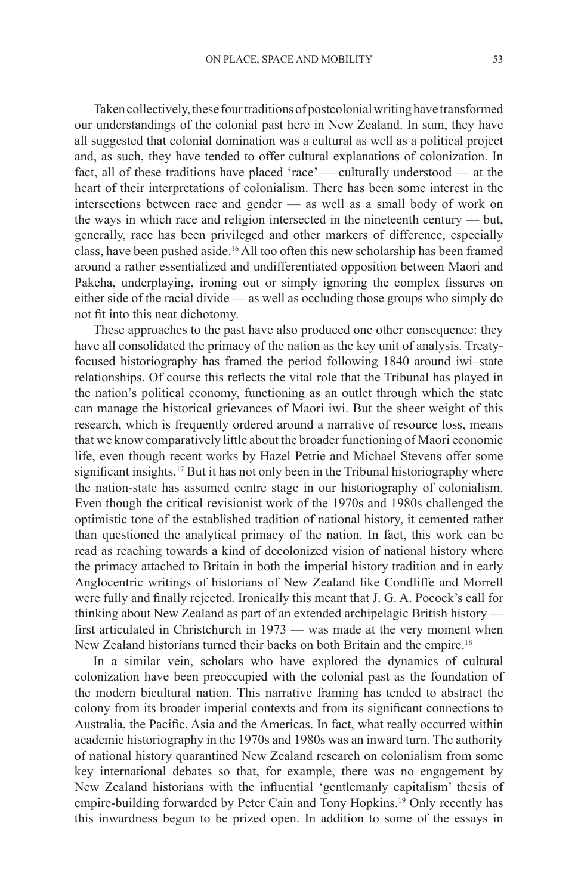Taken collectively, these four traditions of postcolonial writing have transformed our understandings of the colonial past here in New Zealand. In sum, they have all suggested that colonial domination was a cultural as well as a political project and, as such, they have tended to offer cultural explanations of colonization. In fact, all of these traditions have placed 'race' — culturally understood — at the heart of their interpretations of colonialism. There has been some interest in the intersections between race and gender — as well as a small body of work on the ways in which race and religion intersected in the nineteenth century — but, generally, race has been privileged and other markers of difference, especially class, have been pushed aside.16 All too often this new scholarship has been framed around a rather essentialized and undifferentiated opposition between Maori and Pakeha, underplaying, ironing out or simply ignoring the complex fissures on either side of the racial divide — as well as occluding those groups who simply do not fit into this neat dichotomy.

These approaches to the past have also produced one other consequence: they have all consolidated the primacy of the nation as the key unit of analysis. Treatyfocused historiography has framed the period following 1840 around iwi–state relationships. Of course this reflects the vital role that the Tribunal has played in the nation's political economy, functioning as an outlet through which the state can manage the historical grievances of Maori iwi. But the sheer weight of this research, which is frequently ordered around a narrative of resource loss, means that we know comparatively little about the broader functioning of Maori economic life, even though recent works by Hazel Petrie and Michael Stevens offer some significant insights.<sup>17</sup> But it has not only been in the Tribunal historiography where the nation-state has assumed centre stage in our historiography of colonialism. Even though the critical revisionist work of the 1970s and 1980s challenged the optimistic tone of the established tradition of national history, it cemented rather than questioned the analytical primacy of the nation. In fact, this work can be read as reaching towards a kind of decolonized vision of national history where the primacy attached to Britain in both the imperial history tradition and in early Anglocentric writings of historians of New Zealand like Condliffe and Morrell were fully and finally rejected. Ironically this meant that J. G. A. Pocock's call for thinking about New Zealand as part of an extended archipelagic British history first articulated in Christchurch in 1973 — was made at the very moment when New Zealand historians turned their backs on both Britain and the empire.<sup>18</sup>

In a similar vein, scholars who have explored the dynamics of cultural colonization have been preoccupied with the colonial past as the foundation of the modern bicultural nation. This narrative framing has tended to abstract the colony from its broader imperial contexts and from its significant connections to Australia, the Pacific, Asia and the Americas. In fact, what really occurred within academic historiography in the 1970s and 1980s was an inward turn. The authority of national history quarantined New Zealand research on colonialism from some key international debates so that, for example, there was no engagement by New Zealand historians with the influential 'gentlemanly capitalism' thesis of empire-building forwarded by Peter Cain and Tony Hopkins.19 Only recently has this inwardness begun to be prized open. In addition to some of the essays in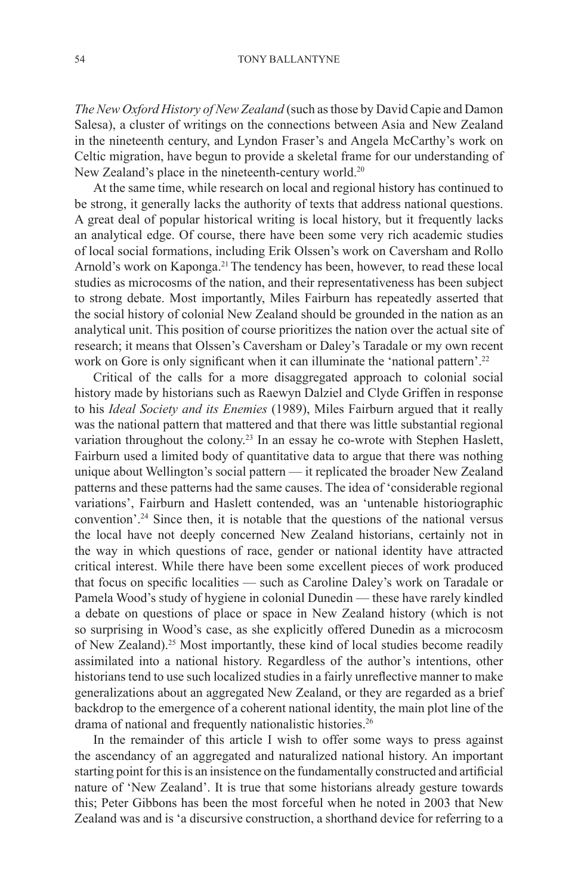*The New Oxford History of New Zealand* (such as those by David Capie and Damon Salesa), a cluster of writings on the connections between Asia and New Zealand in the nineteenth century, and Lyndon Fraser's and Angela McCarthy's work on Celtic migration, have begun to provide a skeletal frame for our understanding of New Zealand's place in the nineteenth-century world.<sup>20</sup>

At the same time, while research on local and regional history has continued to be strong, it generally lacks the authority of texts that address national questions. A great deal of popular historical writing is local history, but it frequently lacks an analytical edge. Of course, there have been some very rich academic studies of local social formations, including Erik Olssen's work on Caversham and Rollo Arnold's work on Kaponga.21 The tendency has been, however, to read these local studies as microcosms of the nation, and their representativeness has been subject to strong debate. Most importantly, Miles Fairburn has repeatedly asserted that the social history of colonial New Zealand should be grounded in the nation as an analytical unit. This position of course prioritizes the nation over the actual site of research; it means that Olssen's Caversham or Daley's Taradale or my own recent work on Gore is only significant when it can illuminate the 'national pattern'.<sup>22</sup>

Critical of the calls for a more disaggregated approach to colonial social history made by historians such as Raewyn Dalziel and Clyde Griffen in response to his *Ideal Society and its Enemies* (1989), Miles Fairburn argued that it really was the national pattern that mattered and that there was little substantial regional variation throughout the colony.<sup>23</sup> In an essay he co-wrote with Stephen Haslett, Fairburn used a limited body of quantitative data to argue that there was nothing unique about Wellington's social pattern — it replicated the broader New Zealand patterns and these patterns had the same causes. The idea of 'considerable regional variations', Fairburn and Haslett contended, was an 'untenable historiographic convention'.24 Since then, it is notable that the questions of the national versus the local have not deeply concerned New Zealand historians, certainly not in the way in which questions of race, gender or national identity have attracted critical interest. While there have been some excellent pieces of work produced that focus on specific localities — such as Caroline Daley's work on Taradale or Pamela Wood's study of hygiene in colonial Dunedin — these have rarely kindled a debate on questions of place or space in New Zealand history (which is not so surprising in Wood's case, as she explicitly offered Dunedin as a microcosm of New Zealand).25 Most importantly, these kind of local studies become readily assimilated into a national history. Regardless of the author's intentions, other historians tend to use such localized studies in a fairly unreflective manner to make generalizations about an aggregated New Zealand, or they are regarded as a brief backdrop to the emergence of a coherent national identity, the main plot line of the drama of national and frequently nationalistic histories.<sup>26</sup>

In the remainder of this article I wish to offer some ways to press against the ascendancy of an aggregated and naturalized national history. An important starting point for this is an insistence on the fundamentally constructed and artificial nature of 'New Zealand'. It is true that some historians already gesture towards this; Peter Gibbons has been the most forceful when he noted in 2003 that New Zealand was and is 'a discursive construction, a shorthand device for referring to a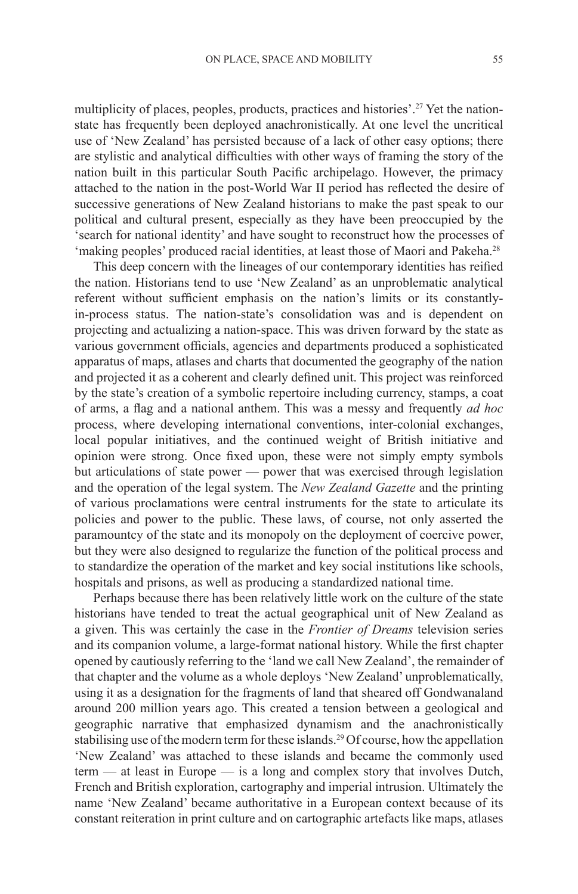multiplicity of places, peoples, products, practices and histories'.<sup>27</sup> Yet the nationstate has frequently been deployed anachronistically. At one level the uncritical use of 'New Zealand' has persisted because of a lack of other easy options; there are stylistic and analytical difficulties with other ways of framing the story of the nation built in this particular South Pacific archipelago. However, the primacy attached to the nation in the post-World War II period has reflected the desire of successive generations of New Zealand historians to make the past speak to our political and cultural present, especially as they have been preoccupied by the 'search for national identity' and have sought to reconstruct how the processes of 'making peoples' produced racial identities, at least those of Maori and Pakeha.<sup>28</sup>

This deep concern with the lineages of our contemporary identities has reified the nation. Historians tend to use 'New Zealand' as an unproblematic analytical referent without sufficient emphasis on the nation's limits or its constantlyin-process status. The nation-state's consolidation was and is dependent on projecting and actualizing a nation-space. This was driven forward by the state as various government officials, agencies and departments produced a sophisticated apparatus of maps, atlases and charts that documented the geography of the nation and projected it as a coherent and clearly defined unit. This project was reinforced by the state's creation of a symbolic repertoire including currency, stamps, a coat of arms, a flag and a national anthem. This was a messy and frequently *ad hoc* process, where developing international conventions, inter-colonial exchanges, local popular initiatives, and the continued weight of British initiative and opinion were strong. Once fixed upon, these were not simply empty symbols but articulations of state power — power that was exercised through legislation and the operation of the legal system. The *New Zealand Gazette* and the printing of various proclamations were central instruments for the state to articulate its policies and power to the public. These laws, of course, not only asserted the paramountcy of the state and its monopoly on the deployment of coercive power, but they were also designed to regularize the function of the political process and to standardize the operation of the market and key social institutions like schools, hospitals and prisons, as well as producing a standardized national time.

Perhaps because there has been relatively little work on the culture of the state historians have tended to treat the actual geographical unit of New Zealand as a given. This was certainly the case in the *Frontier of Dreams* television series and its companion volume, a large-format national history. While the first chapter opened by cautiously referring to the 'land we call New Zealand', the remainder of that chapter and the volume as a whole deploys 'New Zealand' unproblematically, using it as a designation for the fragments of land that sheared off Gondwanaland around 200 million years ago. This created a tension between a geological and geographic narrative that emphasized dynamism and the anachronistically stabilising use of the modern term for these islands.<sup>29</sup> Of course, how the appellation 'New Zealand' was attached to these islands and became the commonly used term — at least in Europe — is a long and complex story that involves Dutch, French and British exploration, cartography and imperial intrusion. Ultimately the name 'New Zealand' became authoritative in a European context because of its constant reiteration in print culture and on cartographic artefacts like maps, atlases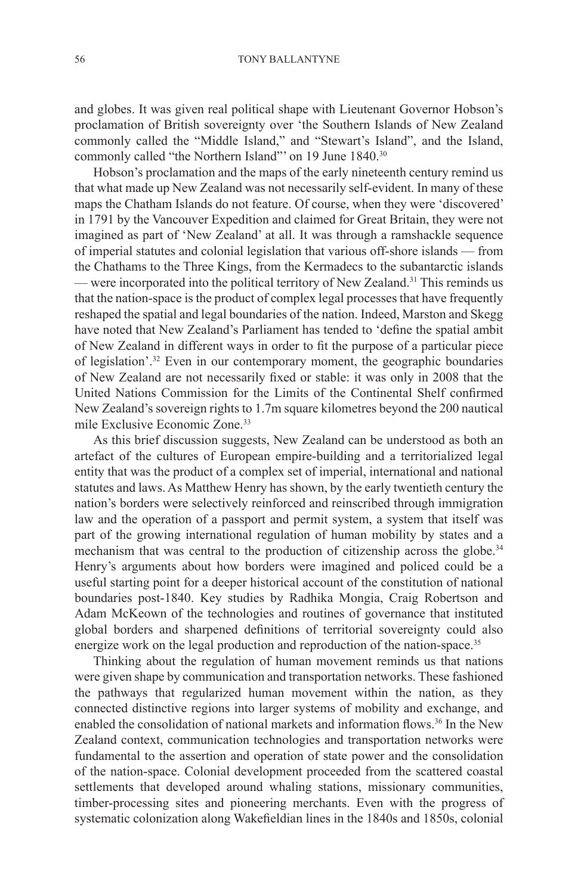and globes. It was given real political shape with Lieutenant Governor Hobson's proclamation of British sovereignty over 'the Southern Islands of New Zealand commonly called the "Middle Island," and "Stewart's Island", and the Island, commonly called "the Northern Island" on 19 June 1840.<sup>30</sup>

Hobson's proclamation and the maps of the early nineteenth century remind us that what made up New Zealand was not necessarily self-evident. In many of these maps the Chatham Islands do not feature. Of course, when they were 'discovered' in 1791 by the Vancouver Expedition and claimed for Great Britain, they were not imagined as part of 'New Zealand' at all. It was through a ramshackle sequence of imperial statutes and colonial legislation that various off-shore islands — from the Chathams to the Three Kings, from the Kermadecs to the subantarctic islands — were incorporated into the political territory of New Zealand.31 This reminds us that the nation-space is the product of complex legal processes that have frequently reshaped the spatial and legal boundaries of the nation. Indeed, Marston and Skegg have noted that New Zealand's Parliament has tended to 'define the spatial ambit of New Zealand in different ways in order to fit the purpose of a particular piece of legislation'.32 Even in our contemporary moment, the geographic boundaries of New Zealand are not necessarily fixed or stable: it was only in 2008 that the United Nations Commission for the Limits of the Continental Shelf confirmed New Zealand's sovereign rights to 1.7m square kilometres beyond the 200 nautical mile Exclusive Economic Zone.33

As this brief discussion suggests, New Zealand can be understood as both an artefact of the cultures of European empire-building and a territorialized legal entity that was the product of a complex set of imperial, international and national statutes and laws. As Matthew Henry has shown, by the early twentieth century the nation's borders were selectively reinforced and reinscribed through immigration law and the operation of a passport and permit system, a system that itself was part of the growing international regulation of human mobility by states and a mechanism that was central to the production of citizenship across the globe.<sup>34</sup> Henry's arguments about how borders were imagined and policed could be a useful starting point for a deeper historical account of the constitution of national boundaries post-1840. Key studies by Radhika Mongia, Craig Robertson and Adam McKeown of the technologies and routines of governance that instituted global borders and sharpened definitions of territorial sovereignty could also energize work on the legal production and reproduction of the nation-space.<sup>35</sup>

Thinking about the regulation of human movement reminds us that nations were given shape by communication and transportation networks. These fashioned the pathways that regularized human movement within the nation, as they connected distinctive regions into larger systems of mobility and exchange, and enabled the consolidation of national markets and information flows.<sup>36</sup> In the New Zealand context, communication technologies and transportation networks were fundamental to the assertion and operation of state power and the consolidation of the nation-space. Colonial development proceeded from the scattered coastal settlements that developed around whaling stations, missionary communities, timber-processing sites and pioneering merchants. Even with the progress of systematic colonization along Wakefieldian lines in the 1840s and 1850s, colonial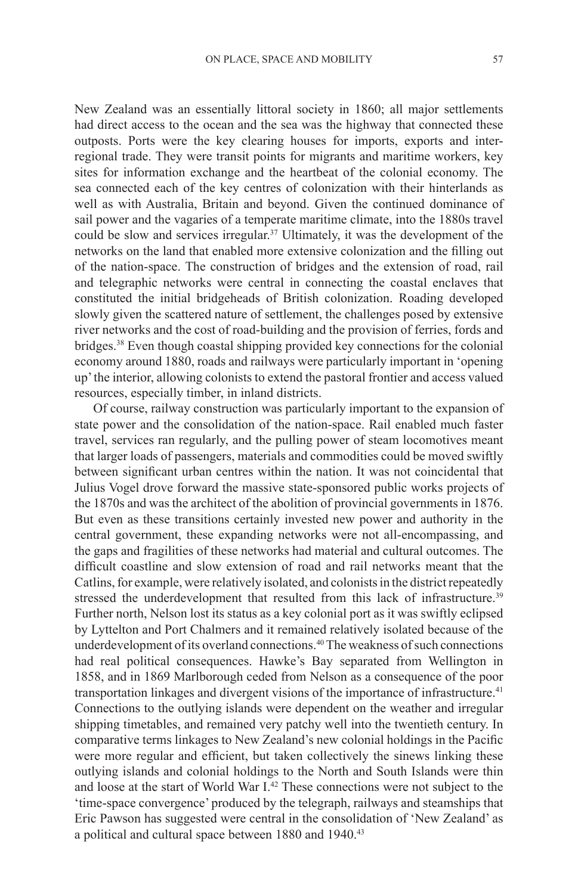New Zealand was an essentially littoral society in 1860; all major settlements had direct access to the ocean and the sea was the highway that connected these outposts. Ports were the key clearing houses for imports, exports and interregional trade. They were transit points for migrants and maritime workers, key sites for information exchange and the heartbeat of the colonial economy. The sea connected each of the key centres of colonization with their hinterlands as well as with Australia, Britain and beyond. Given the continued dominance of sail power and the vagaries of a temperate maritime climate, into the 1880s travel could be slow and services irregular.37 Ultimately, it was the development of the networks on the land that enabled more extensive colonization and the filling out of the nation-space. The construction of bridges and the extension of road, rail and telegraphic networks were central in connecting the coastal enclaves that constituted the initial bridgeheads of British colonization. Roading developed slowly given the scattered nature of settlement, the challenges posed by extensive river networks and the cost of road-building and the provision of ferries, fords and bridges.38 Even though coastal shipping provided key connections for the colonial economy around 1880, roads and railways were particularly important in 'opening up' the interior, allowing colonists to extend the pastoral frontier and access valued resources, especially timber, in inland districts.

Of course, railway construction was particularly important to the expansion of state power and the consolidation of the nation-space. Rail enabled much faster travel, services ran regularly, and the pulling power of steam locomotives meant that larger loads of passengers, materials and commodities could be moved swiftly between significant urban centres within the nation. It was not coincidental that Julius Vogel drove forward the massive state-sponsored public works projects of the 1870s and was the architect of the abolition of provincial governments in 1876. But even as these transitions certainly invested new power and authority in the central government, these expanding networks were not all-encompassing, and the gaps and fragilities of these networks had material and cultural outcomes. The difficult coastline and slow extension of road and rail networks meant that the Catlins, for example, were relatively isolated, and colonists in the district repeatedly stressed the underdevelopment that resulted from this lack of infrastructure.<sup>39</sup> Further north, Nelson lost its status as a key colonial port as it was swiftly eclipsed by Lyttelton and Port Chalmers and it remained relatively isolated because of the underdevelopment of its overland connections.<sup>40</sup> The weakness of such connections had real political consequences. Hawke's Bay separated from Wellington in 1858, and in 1869 Marlborough ceded from Nelson as a consequence of the poor transportation linkages and divergent visions of the importance of infrastructure.<sup>41</sup> Connections to the outlying islands were dependent on the weather and irregular shipping timetables, and remained very patchy well into the twentieth century. In comparative terms linkages to New Zealand's new colonial holdings in the Pacific were more regular and efficient, but taken collectively the sinews linking these outlying islands and colonial holdings to the North and South Islands were thin and loose at the start of World War I.42 These connections were not subject to the 'time-space convergence' produced by the telegraph, railways and steamships that Eric Pawson has suggested were central in the consolidation of 'New Zealand' as a political and cultural space between 1880 and 1940.<sup>43</sup>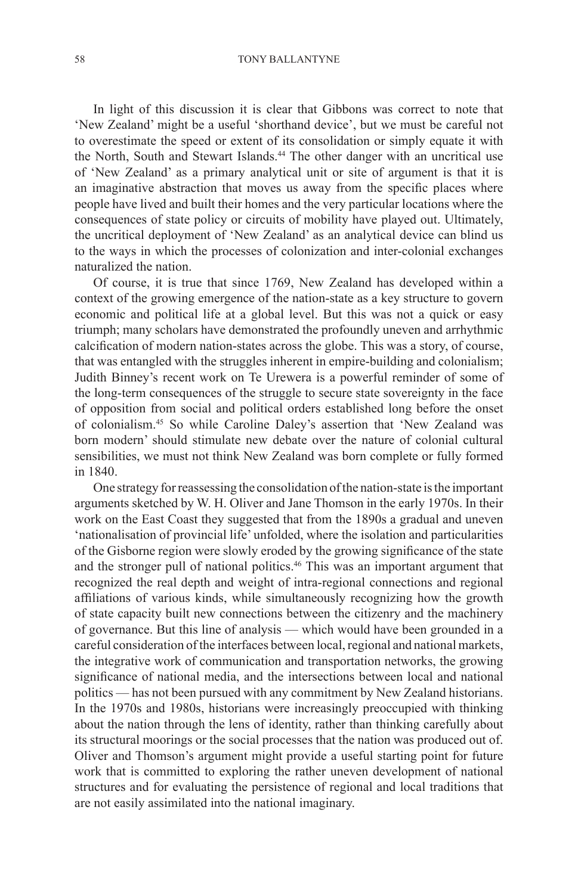58 Tony Ballantyne

In light of this discussion it is clear that Gibbons was correct to note that 'New Zealand' might be a useful 'shorthand device', but we must be careful not to overestimate the speed or extent of its consolidation or simply equate it with the North, South and Stewart Islands.<sup>44</sup> The other danger with an uncritical use of 'New Zealand' as a primary analytical unit or site of argument is that it is an imaginative abstraction that moves us away from the specific places where people have lived and built their homes and the very particular locations where the consequences of state policy or circuits of mobility have played out. Ultimately, the uncritical deployment of 'New Zealand' as an analytical device can blind us to the ways in which the processes of colonization and inter-colonial exchanges naturalized the nation.

Of course, it is true that since 1769, New Zealand has developed within a context of the growing emergence of the nation-state as a key structure to govern economic and political life at a global level. But this was not a quick or easy triumph; many scholars have demonstrated the profoundly uneven and arrhythmic calcification of modern nation-states across the globe. This was a story, of course, that was entangled with the struggles inherent in empire-building and colonialism; Judith Binney's recent work on Te Urewera is a powerful reminder of some of the long-term consequences of the struggle to secure state sovereignty in the face of opposition from social and political orders established long before the onset of colonialism.45 So while Caroline Daley's assertion that 'New Zealand was born modern' should stimulate new debate over the nature of colonial cultural sensibilities, we must not think New Zealand was born complete or fully formed in 1840.

One strategy for reassessing the consolidation of the nation-state is the important arguments sketched by W. H. Oliver and Jane Thomson in the early 1970s. In their work on the East Coast they suggested that from the 1890s a gradual and uneven 'nationalisation of provincial life' unfolded, where the isolation and particularities of the Gisborne region were slowly eroded by the growing significance of the state and the stronger pull of national politics.46 This was an important argument that recognized the real depth and weight of intra-regional connections and regional affiliations of various kinds, while simultaneously recognizing how the growth of state capacity built new connections between the citizenry and the machinery of governance. But this line of analysis — which would have been grounded in a careful consideration of the interfaces between local, regional and national markets, the integrative work of communication and transportation networks, the growing significance of national media, and the intersections between local and national politics — has not been pursued with any commitment by New Zealand historians. In the 1970s and 1980s, historians were increasingly preoccupied with thinking about the nation through the lens of identity, rather than thinking carefully about its structural moorings or the social processes that the nation was produced out of. Oliver and Thomson's argument might provide a useful starting point for future work that is committed to exploring the rather uneven development of national structures and for evaluating the persistence of regional and local traditions that are not easily assimilated into the national imaginary.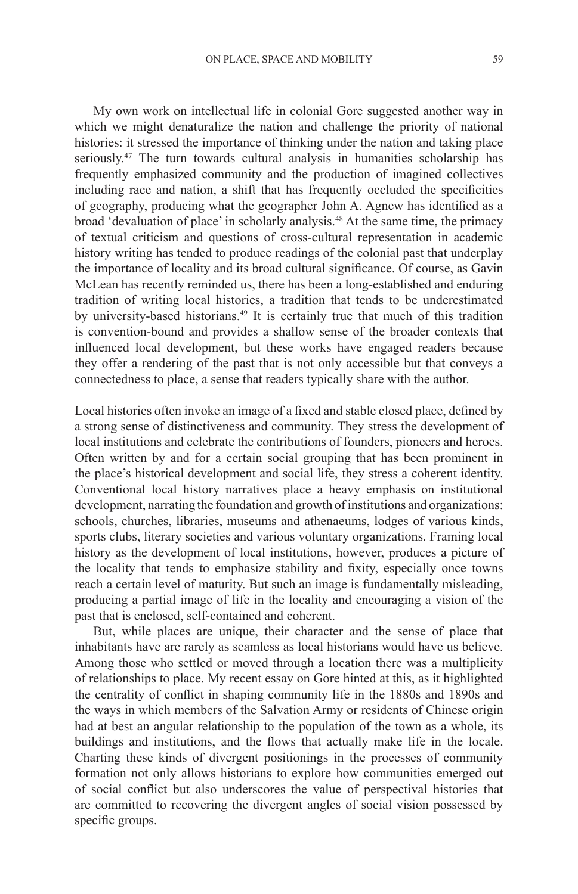My own work on intellectual life in colonial Gore suggested another way in which we might denaturalize the nation and challenge the priority of national histories: it stressed the importance of thinking under the nation and taking place seriously.<sup>47</sup> The turn towards cultural analysis in humanities scholarship has frequently emphasized community and the production of imagined collectives including race and nation, a shift that has frequently occluded the specificities of geography, producing what the geographer John A. Agnew has identified as a broad 'devaluation of place' in scholarly analysis.48 At the same time, the primacy of textual criticism and questions of cross-cultural representation in academic history writing has tended to produce readings of the colonial past that underplay the importance of locality and its broad cultural significance. Of course, as Gavin McLean has recently reminded us, there has been a long-established and enduring tradition of writing local histories, a tradition that tends to be underestimated by university-based historians.<sup>49</sup> It is certainly true that much of this tradition is convention-bound and provides a shallow sense of the broader contexts that influenced local development, but these works have engaged readers because they offer a rendering of the past that is not only accessible but that conveys a connectedness to place, a sense that readers typically share with the author.

Local histories often invoke an image of a fixed and stable closed place, defined by a strong sense of distinctiveness and community. They stress the development of local institutions and celebrate the contributions of founders, pioneers and heroes. Often written by and for a certain social grouping that has been prominent in the place's historical development and social life, they stress a coherent identity. Conventional local history narratives place a heavy emphasis on institutional development, narrating the foundation and growth of institutions and organizations: schools, churches, libraries, museums and athenaeums, lodges of various kinds, sports clubs, literary societies and various voluntary organizations. Framing local history as the development of local institutions, however, produces a picture of the locality that tends to emphasize stability and fixity, especially once towns reach a certain level of maturity. But such an image is fundamentally misleading, producing a partial image of life in the locality and encouraging a vision of the past that is enclosed, self-contained and coherent.

But, while places are unique, their character and the sense of place that inhabitants have are rarely as seamless as local historians would have us believe. Among those who settled or moved through a location there was a multiplicity of relationships to place. My recent essay on Gore hinted at this, as it highlighted the centrality of conflict in shaping community life in the 1880s and 1890s and the ways in which members of the Salvation Army or residents of Chinese origin had at best an angular relationship to the population of the town as a whole, its buildings and institutions, and the flows that actually make life in the locale. Charting these kinds of divergent positionings in the processes of community formation not only allows historians to explore how communities emerged out of social conflict but also underscores the value of perspectival histories that are committed to recovering the divergent angles of social vision possessed by specific groups.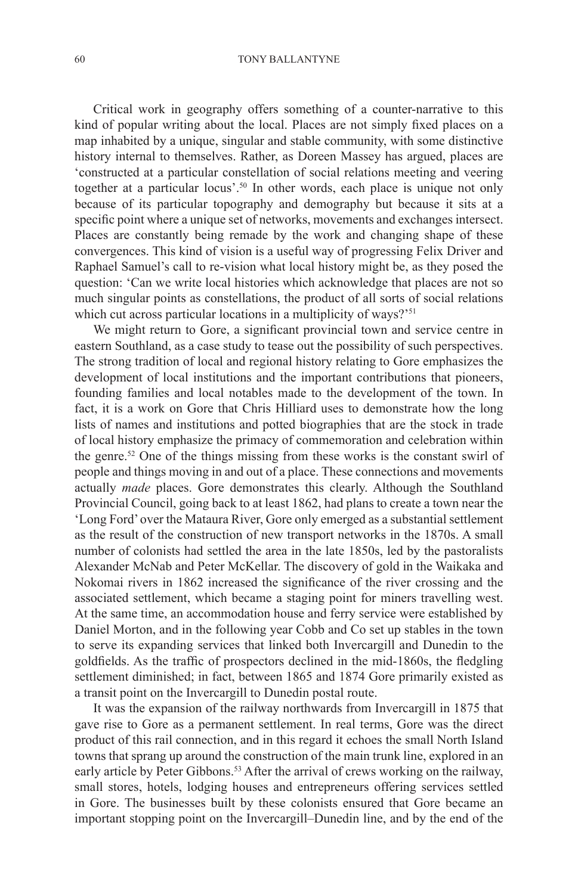#### 60 Tony Ballantyne

Critical work in geography offers something of a counter-narrative to this kind of popular writing about the local. Places are not simply fixed places on a map inhabited by a unique, singular and stable community, with some distinctive history internal to themselves. Rather, as Doreen Massey has argued, places are 'constructed at a particular constellation of social relations meeting and veering together at a particular locus'.<sup>50</sup> In other words, each place is unique not only because of its particular topography and demography but because it sits at a specific point where a unique set of networks, movements and exchanges intersect. Places are constantly being remade by the work and changing shape of these convergences. This kind of vision is a useful way of progressing Felix Driver and Raphael Samuel's call to re-vision what local history might be, as they posed the question: 'Can we write local histories which acknowledge that places are not so much singular points as constellations, the product of all sorts of social relations which cut across particular locations in a multiplicity of ways?<sup>'51</sup>

We might return to Gore, a significant provincial town and service centre in eastern Southland, as a case study to tease out the possibility of such perspectives. The strong tradition of local and regional history relating to Gore emphasizes the development of local institutions and the important contributions that pioneers, founding families and local notables made to the development of the town. In fact, it is a work on Gore that Chris Hilliard uses to demonstrate how the long lists of names and institutions and potted biographies that are the stock in trade of local history emphasize the primacy of commemoration and celebration within the genre.52 One of the things missing from these works is the constant swirl of people and things moving in and out of a place. These connections and movements actually *made* places. Gore demonstrates this clearly. Although the Southland Provincial Council, going back to at least 1862, had plans to create a town near the 'Long Ford' over the Mataura River, Gore only emerged as a substantial settlement as the result of the construction of new transport networks in the 1870s. A small number of colonists had settled the area in the late 1850s, led by the pastoralists Alexander McNab and Peter McKellar. The discovery of gold in the Waikaka and Nokomai rivers in 1862 increased the significance of the river crossing and the associated settlement, which became a staging point for miners travelling west. At the same time, an accommodation house and ferry service were established by Daniel Morton, and in the following year Cobb and Co set up stables in the town to serve its expanding services that linked both Invercargill and Dunedin to the goldfields. As the traffic of prospectors declined in the mid-1860s, the fledgling settlement diminished; in fact, between 1865 and 1874 Gore primarily existed as a transit point on the Invercargill to Dunedin postal route.

It was the expansion of the railway northwards from Invercargill in 1875 that gave rise to Gore as a permanent settlement. In real terms, Gore was the direct product of this rail connection, and in this regard it echoes the small North Island towns that sprang up around the construction of the main trunk line, explored in an early article by Peter Gibbons.<sup>53</sup> After the arrival of crews working on the railway, small stores, hotels, lodging houses and entrepreneurs offering services settled in Gore. The businesses built by these colonists ensured that Gore became an important stopping point on the Invercargill–Dunedin line, and by the end of the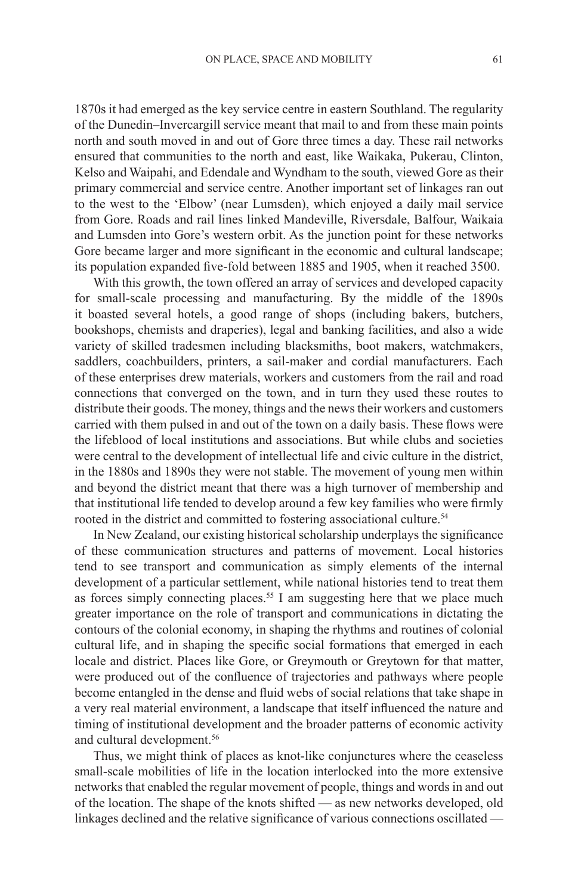1870s it had emerged as the key service centre in eastern Southland. The regularity of the Dunedin–Invercargill service meant that mail to and from these main points north and south moved in and out of Gore three times a day. These rail networks ensured that communities to the north and east, like Waikaka, Pukerau, Clinton, Kelso and Waipahi, and Edendale and Wyndham to the south, viewed Gore as their primary commercial and service centre. Another important set of linkages ran out to the west to the 'Elbow' (near Lumsden), which enjoyed a daily mail service from Gore. Roads and rail lines linked Mandeville, Riversdale, Balfour, Waikaia and Lumsden into Gore's western orbit. As the junction point for these networks Gore became larger and more significant in the economic and cultural landscape; its population expanded five-fold between 1885 and 1905, when it reached 3500.

With this growth, the town offered an array of services and developed capacity for small-scale processing and manufacturing. By the middle of the 1890s it boasted several hotels, a good range of shops (including bakers, butchers, bookshops, chemists and draperies), legal and banking facilities, and also a wide variety of skilled tradesmen including blacksmiths, boot makers, watchmakers, saddlers, coachbuilders, printers, a sail-maker and cordial manufacturers. Each of these enterprises drew materials, workers and customers from the rail and road connections that converged on the town, and in turn they used these routes to distribute their goods. The money, things and the news their workers and customers carried with them pulsed in and out of the town on a daily basis. These flows were the lifeblood of local institutions and associations. But while clubs and societies were central to the development of intellectual life and civic culture in the district, in the 1880s and 1890s they were not stable. The movement of young men within and beyond the district meant that there was a high turnover of membership and that institutional life tended to develop around a few key families who were firmly rooted in the district and committed to fostering associational culture.<sup>54</sup>

In New Zealand, our existing historical scholarship underplays the significance of these communication structures and patterns of movement. Local histories tend to see transport and communication as simply elements of the internal development of a particular settlement, while national histories tend to treat them as forces simply connecting places.55 I am suggesting here that we place much greater importance on the role of transport and communications in dictating the contours of the colonial economy, in shaping the rhythms and routines of colonial cultural life, and in shaping the specific social formations that emerged in each locale and district. Places like Gore, or Greymouth or Greytown for that matter, were produced out of the confluence of trajectories and pathways where people become entangled in the dense and fluid webs of social relations that take shape in a very real material environment, a landscape that itself influenced the nature and timing of institutional development and the broader patterns of economic activity and cultural development.<sup>56</sup>

Thus, we might think of places as knot-like conjunctures where the ceaseless small-scale mobilities of life in the location interlocked into the more extensive networks that enabled the regular movement of people, things and words in and out of the location. The shape of the knots shifted — as new networks developed, old linkages declined and the relative significance of various connections oscillated —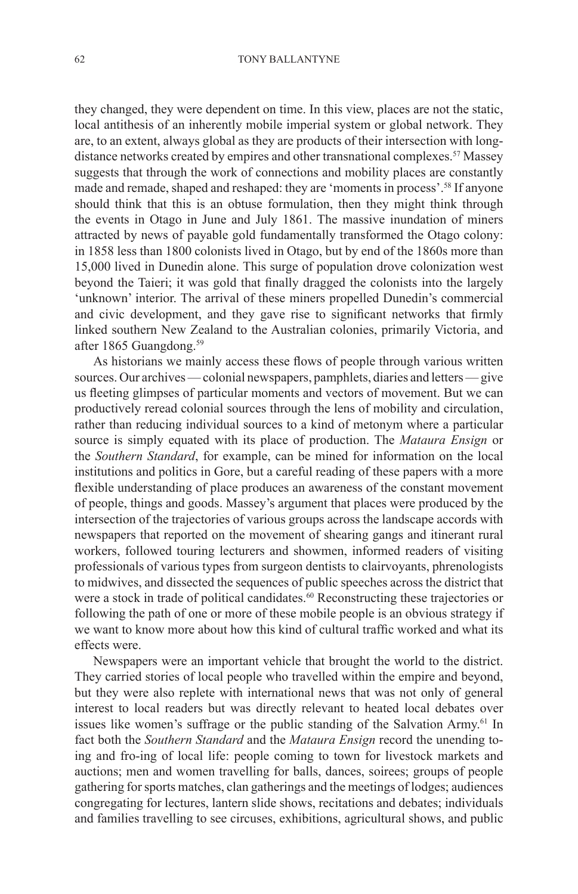#### 62 Tony Ballantyne

they changed, they were dependent on time. In this view, places are not the static, local antithesis of an inherently mobile imperial system or global network. They are, to an extent, always global as they are products of their intersection with longdistance networks created by empires and other transnational complexes.<sup>57</sup> Massey suggests that through the work of connections and mobility places are constantly made and remade, shaped and reshaped: they are 'moments in process'.58 If anyone should think that this is an obtuse formulation, then they might think through the events in Otago in June and July 1861. The massive inundation of miners attracted by news of payable gold fundamentally transformed the Otago colony: in 1858 less than 1800 colonists lived in Otago, but by end of the 1860s more than 15,000 lived in Dunedin alone. This surge of population drove colonization west beyond the Taieri; it was gold that finally dragged the colonists into the largely 'unknown' interior. The arrival of these miners propelled Dunedin's commercial and civic development, and they gave rise to significant networks that firmly linked southern New Zealand to the Australian colonies, primarily Victoria, and after 1865 Guangdong.59

As historians we mainly access these flows of people through various written sources. Our archives — colonial newspapers, pamphlets, diaries and letters — give us fleeting glimpses of particular moments and vectors of movement. But we can productively reread colonial sources through the lens of mobility and circulation, rather than reducing individual sources to a kind of metonym where a particular source is simply equated with its place of production. The *Mataura Ensign* or the *Southern Standard*, for example, can be mined for information on the local institutions and politics in Gore, but a careful reading of these papers with a more flexible understanding of place produces an awareness of the constant movement of people, things and goods. Massey's argument that places were produced by the intersection of the trajectories of various groups across the landscape accords with newspapers that reported on the movement of shearing gangs and itinerant rural workers, followed touring lecturers and showmen, informed readers of visiting professionals of various types from surgeon dentists to clairvoyants, phrenologists to midwives, and dissected the sequences of public speeches across the district that were a stock in trade of political candidates.<sup>60</sup> Reconstructing these trajectories or following the path of one or more of these mobile people is an obvious strategy if we want to know more about how this kind of cultural traffic worked and what its effects were.

Newspapers were an important vehicle that brought the world to the district. They carried stories of local people who travelled within the empire and beyond, but they were also replete with international news that was not only of general interest to local readers but was directly relevant to heated local debates over issues like women's suffrage or the public standing of the Salvation Army.<sup>61</sup> In fact both the *Southern Standard* and the *Mataura Ensign* record the unending toing and fro-ing of local life: people coming to town for livestock markets and auctions; men and women travelling for balls, dances, soirees; groups of people gathering for sports matches, clan gatherings and the meetings of lodges; audiences congregating for lectures, lantern slide shows, recitations and debates; individuals and families travelling to see circuses, exhibitions, agricultural shows, and public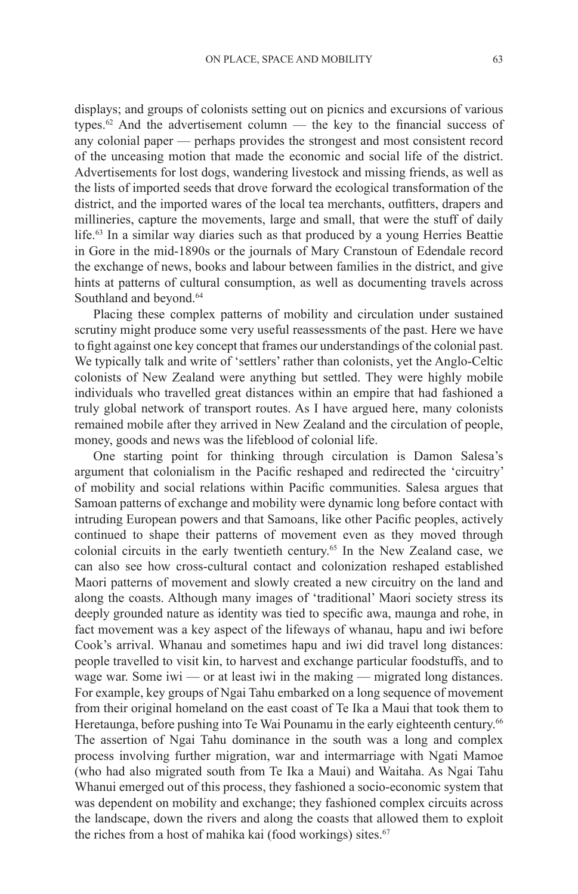displays; and groups of colonists setting out on picnics and excursions of various types.<sup>62</sup> And the advertisement column — the key to the financial success of any colonial paper — perhaps provides the strongest and most consistent record of the unceasing motion that made the economic and social life of the district. Advertisements for lost dogs, wandering livestock and missing friends, as well as the lists of imported seeds that drove forward the ecological transformation of the district, and the imported wares of the local tea merchants, outfitters, drapers and millineries, capture the movements, large and small, that were the stuff of daily life.<sup>63</sup> In a similar way diaries such as that produced by a young Herries Beattie in Gore in the mid-1890s or the journals of Mary Cranstoun of Edendale record the exchange of news, books and labour between families in the district, and give hints at patterns of cultural consumption, as well as documenting travels across Southland and beyond.<sup>64</sup>

Placing these complex patterns of mobility and circulation under sustained scrutiny might produce some very useful reassessments of the past. Here we have to fight against one key concept that frames our understandings of the colonial past. We typically talk and write of 'settlers' rather than colonists, yet the Anglo-Celtic colonists of New Zealand were anything but settled. They were highly mobile individuals who travelled great distances within an empire that had fashioned a truly global network of transport routes. As I have argued here, many colonists remained mobile after they arrived in New Zealand and the circulation of people, money, goods and news was the lifeblood of colonial life.

One starting point for thinking through circulation is Damon Salesa's argument that colonialism in the Pacific reshaped and redirected the 'circuitry' of mobility and social relations within Pacific communities. Salesa argues that Samoan patterns of exchange and mobility were dynamic long before contact with intruding European powers and that Samoans, like other Pacific peoples, actively continued to shape their patterns of movement even as they moved through colonial circuits in the early twentieth century.65 In the New Zealand case, we can also see how cross-cultural contact and colonization reshaped established Maori patterns of movement and slowly created a new circuitry on the land and along the coasts. Although many images of 'traditional' Maori society stress its deeply grounded nature as identity was tied to specific awa, maunga and rohe, in fact movement was a key aspect of the lifeways of whanau, hapu and iwi before Cook's arrival. Whanau and sometimes hapu and iwi did travel long distances: people travelled to visit kin, to harvest and exchange particular foodstuffs, and to wage war. Some iwi — or at least iwi in the making — migrated long distances. For example, key groups of Ngai Tahu embarked on a long sequence of movement from their original homeland on the east coast of Te Ika a Maui that took them to Heretaunga, before pushing into Te Wai Pounamu in the early eighteenth century.<sup>66</sup> The assertion of Ngai Tahu dominance in the south was a long and complex process involving further migration, war and intermarriage with Ngati Mamoe (who had also migrated south from Te Ika a Maui) and Waitaha. As Ngai Tahu Whanui emerged out of this process, they fashioned a socio-economic system that was dependent on mobility and exchange; they fashioned complex circuits across the landscape, down the rivers and along the coasts that allowed them to exploit the riches from a host of mahika kai (food workings) sites.<sup>67</sup>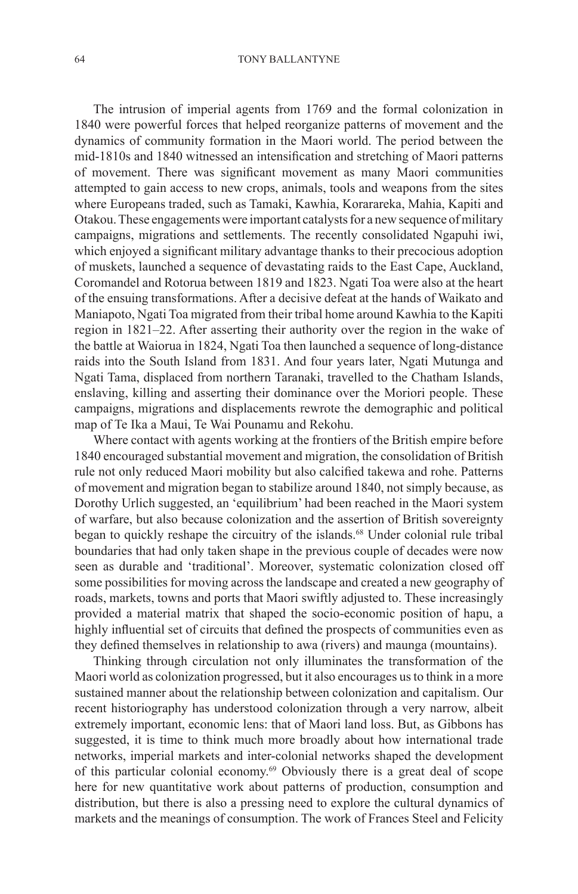#### 64 Tony Ballantyne

The intrusion of imperial agents from 1769 and the formal colonization in 1840 were powerful forces that helped reorganize patterns of movement and the dynamics of community formation in the Maori world. The period between the mid-1810s and 1840 witnessed an intensification and stretching of Maori patterns of movement. There was significant movement as many Maori communities attempted to gain access to new crops, animals, tools and weapons from the sites where Europeans traded, such as Tamaki, Kawhia, Korarareka, Mahia, Kapiti and Otakou. These engagements were important catalysts for a new sequence of military campaigns, migrations and settlements. The recently consolidated Ngapuhi iwi, which enjoyed a significant military advantage thanks to their precocious adoption of muskets, launched a sequence of devastating raids to the East Cape, Auckland, Coromandel and Rotorua between 1819 and 1823. Ngati Toa were also at the heart of the ensuing transformations. After a decisive defeat at the hands of Waikato and Maniapoto, Ngati Toa migrated from their tribal home around Kawhia to the Kapiti region in 1821–22. After asserting their authority over the region in the wake of the battle at Waiorua in 1824, Ngati Toa then launched a sequence of long-distance raids into the South Island from 1831. And four years later, Ngati Mutunga and Ngati Tama, displaced from northern Taranaki, travelled to the Chatham Islands, enslaving, killing and asserting their dominance over the Moriori people. These campaigns, migrations and displacements rewrote the demographic and political map of Te Ika a Maui, Te Wai Pounamu and Rekohu.

Where contact with agents working at the frontiers of the British empire before 1840 encouraged substantial movement and migration, the consolidation of British rule not only reduced Maori mobility but also calcified takewa and rohe. Patterns of movement and migration began to stabilize around 1840, not simply because, as Dorothy Urlich suggested, an 'equilibrium' had been reached in the Maori system of warfare, but also because colonization and the assertion of British sovereignty began to quickly reshape the circuitry of the islands.<sup>68</sup> Under colonial rule tribal boundaries that had only taken shape in the previous couple of decades were now seen as durable and 'traditional'. Moreover, systematic colonization closed off some possibilities for moving across the landscape and created a new geography of roads, markets, towns and ports that Maori swiftly adjusted to. These increasingly provided a material matrix that shaped the socio-economic position of hapu, a highly influential set of circuits that defined the prospects of communities even as they defined themselves in relationship to awa (rivers) and maunga (mountains).

Thinking through circulation not only illuminates the transformation of the Maori world as colonization progressed, but it also encourages us to think in a more sustained manner about the relationship between colonization and capitalism. Our recent historiography has understood colonization through a very narrow, albeit extremely important, economic lens: that of Maori land loss. But, as Gibbons has suggested, it is time to think much more broadly about how international trade networks, imperial markets and inter-colonial networks shaped the development of this particular colonial economy.69 Obviously there is a great deal of scope here for new quantitative work about patterns of production, consumption and distribution, but there is also a pressing need to explore the cultural dynamics of markets and the meanings of consumption. The work of Frances Steel and Felicity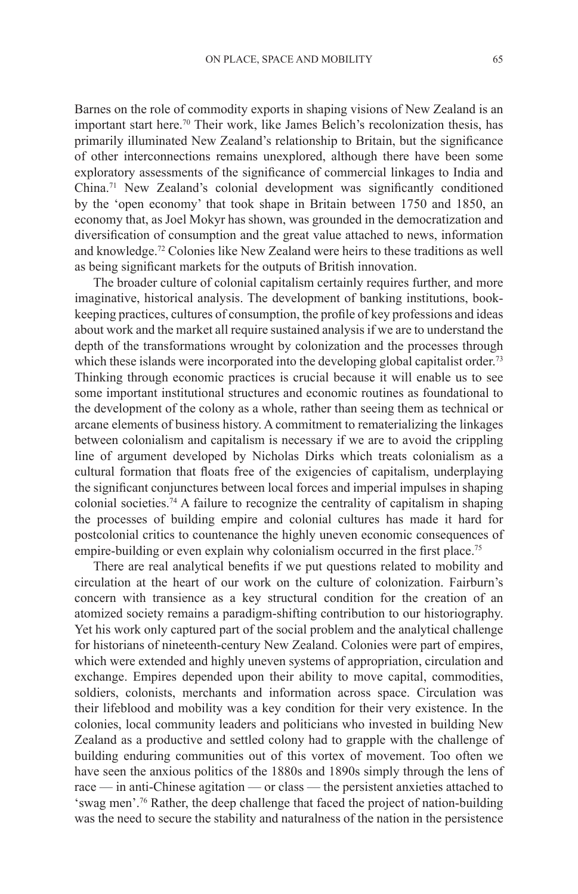Barnes on the role of commodity exports in shaping visions of New Zealand is an important start here.70 Their work, like James Belich's recolonization thesis, has primarily illuminated New Zealand's relationship to Britain, but the significance of other interconnections remains unexplored, although there have been some exploratory assessments of the significance of commercial linkages to India and China.71 New Zealand's colonial development was significantly conditioned by the 'open economy' that took shape in Britain between 1750 and 1850, an economy that, as Joel Mokyr has shown, was grounded in the democratization and diversification of consumption and the great value attached to news, information and knowledge.72 Colonies like New Zealand were heirs to these traditions as well as being significant markets for the outputs of British innovation.

The broader culture of colonial capitalism certainly requires further, and more imaginative, historical analysis. The development of banking institutions, bookkeeping practices, cultures of consumption, the profile of key professions and ideas about work and the market all require sustained analysis if we are to understand the depth of the transformations wrought by colonization and the processes through which these islands were incorporated into the developing global capitalist order.<sup>73</sup> Thinking through economic practices is crucial because it will enable us to see some important institutional structures and economic routines as foundational to the development of the colony as a whole, rather than seeing them as technical or arcane elements of business history. A commitment to rematerializing the linkages between colonialism and capitalism is necessary if we are to avoid the crippling line of argument developed by Nicholas Dirks which treats colonialism as a cultural formation that floats free of the exigencies of capitalism, underplaying the significant conjunctures between local forces and imperial impulses in shaping colonial societies.74 A failure to recognize the centrality of capitalism in shaping the processes of building empire and colonial cultures has made it hard for postcolonial critics to countenance the highly uneven economic consequences of empire-building or even explain why colonialism occurred in the first place.<sup>75</sup>

There are real analytical benefits if we put questions related to mobility and circulation at the heart of our work on the culture of colonization. Fairburn's concern with transience as a key structural condition for the creation of an atomized society remains a paradigm-shifting contribution to our historiography. Yet his work only captured part of the social problem and the analytical challenge for historians of nineteenth-century New Zealand. Colonies were part of empires, which were extended and highly uneven systems of appropriation, circulation and exchange. Empires depended upon their ability to move capital, commodities, soldiers, colonists, merchants and information across space. Circulation was their lifeblood and mobility was a key condition for their very existence. In the colonies, local community leaders and politicians who invested in building New Zealand as a productive and settled colony had to grapple with the challenge of building enduring communities out of this vortex of movement. Too often we have seen the anxious politics of the 1880s and 1890s simply through the lens of race — in anti-Chinese agitation — or class — the persistent anxieties attached to 'swag men'.76 Rather, the deep challenge that faced the project of nation-building was the need to secure the stability and naturalness of the nation in the persistence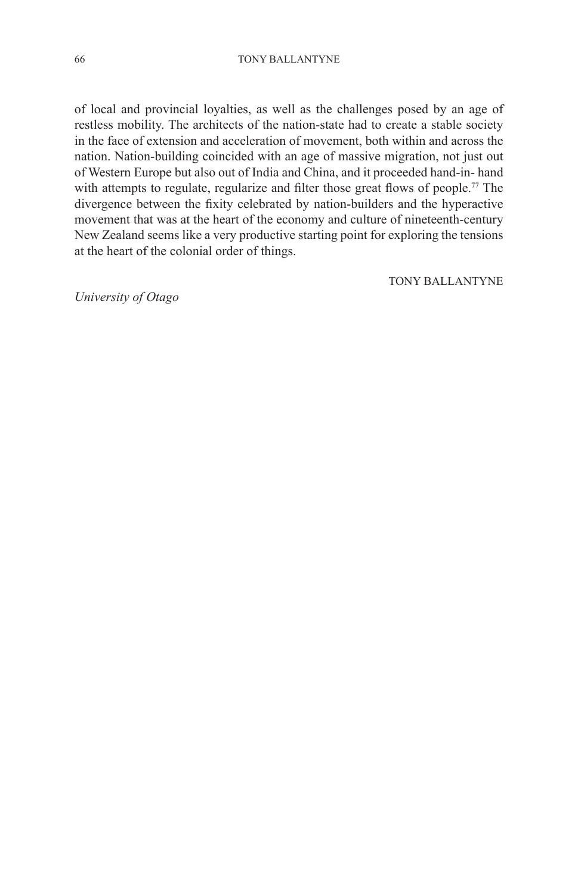of local and provincial loyalties, as well as the challenges posed by an age of restless mobility. The architects of the nation-state had to create a stable society in the face of extension and acceleration of movement, both within and across the nation. Nation-building coincided with an age of massive migration, not just out of Western Europe but also out of India and China, and it proceeded hand-in- hand with attempts to regulate, regularize and filter those great flows of people.<sup>77</sup> The divergence between the fixity celebrated by nation-builders and the hyperactive movement that was at the heart of the economy and culture of nineteenth-century New Zealand seems like a very productive starting point for exploring the tensions at the heart of the colonial order of things.

*University of Otago*

TONY BALLANTYNE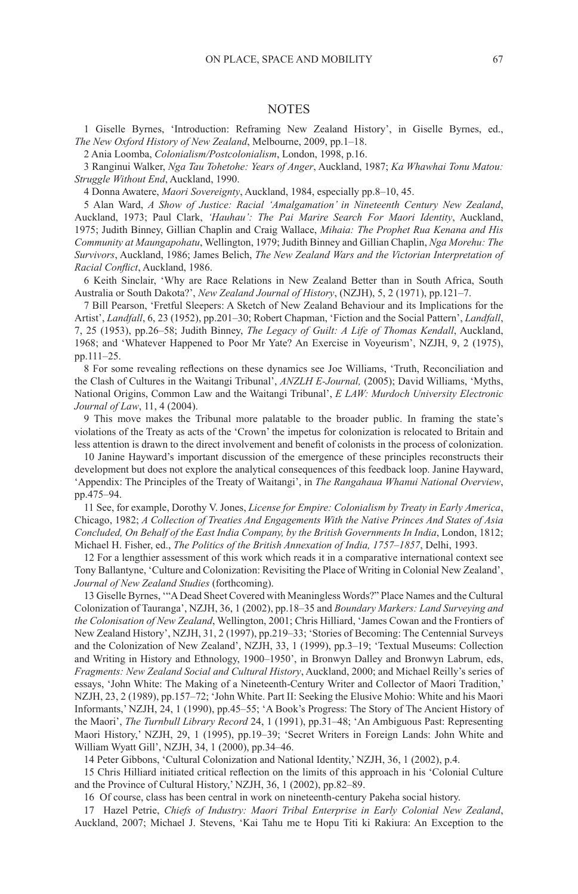### **NOTES**

1 Giselle Byrnes, 'Introduction: Reframing New Zealand History', in Giselle Byrnes, ed., *The New Oxford History of New Zealand*, Melbourne, 2009, pp.1–18.

2 Ania Loomba, *Colonialism/Postcolonialism*, London, 1998, p.16.

3 Ranginui Walker, *Nga Tau Tohetohe: Years of Anger*, Auckland, 1987; *Ka Whawhai Tonu Matou: Struggle Without End*, Auckland, 1990.

4 Donna Awatere, *Maori Sovereignty*, Auckland, 1984, especially pp.8–10, 45.

5 Alan Ward, *A Show of Justice: Racial 'Amalgamation' in Nineteenth Century New Zealand*, Auckland, 1973; Paul Clark, *'Hauhau': The Pai Marire Search For Maori Identity*, Auckland, 1975; Judith Binney, Gillian Chaplin and Craig Wallace, *Mihaia: The Prophet Rua Kenana and His Community at Maungapohatu*, Wellington, 1979; Judith Binney and Gillian Chaplin, *Nga Morehu: The Survivors*, Auckland, 1986; James Belich, *The New Zealand Wars and the Victorian Interpretation of Racial Conflict*, Auckland, 1986.

6 Keith Sinclair, 'Why are Race Relations in New Zealand Better than in South Africa, South Australia or South Dakota?', *New Zealand Journal of History*, (NZJH), 5, 2 (1971), pp.121–7.

7 Bill Pearson, 'Fretful Sleepers: A Sketch of New Zealand Behaviour and its Implications for the Artist', *Landfall*, 6, 23 (1952), pp.201–30; Robert Chapman, 'Fiction and the Social Pattern', *Landfall*, 7, 25 (1953), pp.26–58; Judith Binney, *The Legacy of Guilt: A Life of Thomas Kendall*, Auckland, 1968; and 'Whatever Happened to Poor Mr Yate? An Exercise in Voyeurism', NZJH, 9, 2 (1975), pp.111–25.

8 For some revealing reflections on these dynamics see Joe Williams, 'Truth, Reconciliation and the Clash of Cultures in the Waitangi Tribunal', *ANZLH E-Journal,* (2005); David Williams, 'Myths, National Origins, Common Law and the Waitangi Tribunal', *E LAW: Murdoch University Electronic Journal of Law*, 11, 4 (2004).

9 This move makes the Tribunal more palatable to the broader public. In framing the state's violations of the Treaty as acts of the 'Crown' the impetus for colonization is relocated to Britain and less attention is drawn to the direct involvement and benefit of colonists in the process of colonization.

10 Janine Hayward's important discussion of the emergence of these principles reconstructs their development but does not explore the analytical consequences of this feedback loop. Janine Hayward, 'Appendix: The Principles of the Treaty of Waitangi', in *The Rangahaua Whanui National Overview*, pp.475–94.

11 See, for example, Dorothy V. Jones, *License for Empire: Colonialism by Treaty in Early America*, Chicago, 1982; *A Collection of Treaties And Engagements With the Native Princes And States of Asia Concluded, On Behalf of the East India Company, by the British Governments In India*, London, 1812; Michael H. Fisher, ed., *The Politics of the British Annexation of India, 1757*–*1857*, Delhi, 1993.

12 For a lengthier assessment of this work which reads it in a comparative international context see Tony Ballantyne, 'Culture and Colonization: Revisiting the Place of Writing in Colonial New Zealand', *Journal of New Zealand Studies* (forthcoming).

13 Giselle Byrnes, '"A Dead Sheet Covered with Meaningless Words?" Place Names and the Cultural Colonization of Tauranga', NZJH, 36, 1 (2002), pp.18–35 and *Boundary Markers: Land Surveying and the Colonisation of New Zealand*, Wellington, 2001; Chris Hilliard, 'James Cowan and the Frontiers of New Zealand History', NZJH, 31, 2 (1997), pp.219–33; 'Stories of Becoming: The Centennial Surveys and the Colonization of New Zealand', NZJH, 33, 1 (1999), pp.3–19; 'Textual Museums: Collection and Writing in History and Ethnology, 1900–1950', in Bronwyn Dalley and Bronwyn Labrum, eds, *Fragments: New Zealand Social and Cultural History*, Auckland, 2000; and Michael Reilly's series of essays, 'John White: The Making of a Nineteenth-Century Writer and Collector of Maori Tradition,' NZJH, 23, 2 (1989), pp.157–72; 'John White. Part II: Seeking the Elusive Mohio: White and his Maori Informants,' NZJH, 24, 1 (1990), pp.45–55; 'A Book's Progress: The Story of The Ancient History of the Maori', *The Turnbull Library Record* 24, 1 (1991), pp.31–48; 'An Ambiguous Past: Representing Maori History,' NZJH, 29, 1 (1995), pp.19–39; 'Secret Writers in Foreign Lands: John White and William Wyatt Gill', NZJH, 34, 1 (2000), pp.34–46.

14 Peter Gibbons, 'Cultural Colonization and National Identity,' NZJH, 36, 1 (2002), p.4.

15 Chris Hilliard initiated critical reflection on the limits of this approach in his 'Colonial Culture and the Province of Cultural History,' NZJH, 36, 1 (2002), pp.82–89.

16 Of course, class has been central in work on nineteenth-century Pakeha social history.

17 Hazel Petrie, *Chiefs of Industry: Maori Tribal Enterprise in Early Colonial New Zealand*, Auckland, 2007; Michael J. Stevens, 'Kai Tahu me te Hopu Titi ki Rakiura: An Exception to the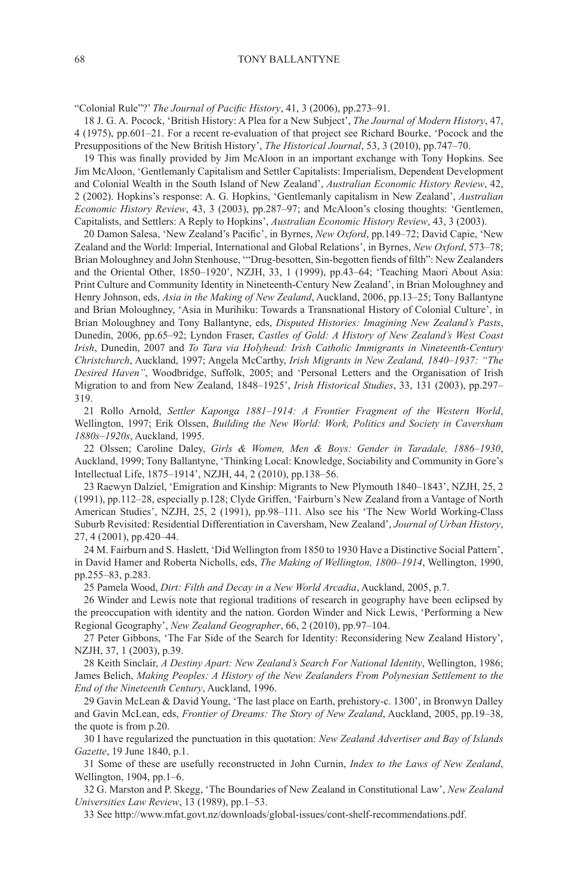"Colonial Rule"?' *The Journal of Pacific History*, 41, 3 (2006), pp.273–91.

18 J. G. A. Pocock, 'British History: A Plea for a New Subject', *The Journal of Modern History*, 47, 4 (1975), pp.601–21. For a recent re-evaluation of that project see Richard Bourke, 'Pocock and the Presuppositions of the New British History', *The Historical Journal*, 53, 3 (2010), pp.747–70.

19 This was finally provided by Jim McAloon in an important exchange with Tony Hopkins. See Jim McAloon, 'Gentlemanly Capitalism and Settler Capitalists: Imperialism, Dependent Development and Colonial Wealth in the South Island of New Zealand', *Australian Economic History Review*, 42, 2 (2002). Hopkins's response: A. G. Hopkins, 'Gentlemanly capitalism in New Zealand', *Australian Economic History Review*, 43, 3 (2003), pp.287–97; and McAloon's closing thoughts: 'Gentlemen, Capitalists, and Settlers: A Reply to Hopkins', *Australian Economic History Review*, 43, 3 (2003).

20 Damon Salesa, 'New Zealand's Pacific', in Byrnes, *New Oxford*, pp.149–72; David Capie, 'New Zealand and the World: Imperial, International and Global Relations', in Byrnes, *New Oxford*, 573–78; Brian Moloughney and John Stenhouse, '"Drug-besotten, Sin-begotten fiends of filth": New Zealanders and the Oriental Other, 1850–1920', NZJH, 33, 1 (1999), pp.43–64; 'Teaching Maori About Asia: Print Culture and Community Identity in Nineteenth-Century New Zealand', in Brian Moloughney and Henry Johnson, eds, *Asia in the Making of New Zealand*, Auckland, 2006, pp.13–25; Tony Ballantyne and Brian Moloughney, 'Asia in Murihiku: Towards a Transnational History of Colonial Culture', in Brian Moloughney and Tony Ballantyne, eds, *Disputed Histories: Imagining New Zealand's Pasts*, Dunedin, 2006, pp.65–92; Lyndon Fraser, *Castles of Gold: A History of New Zealand's West Coast Irish*, Dunedin, 2007 and *To Tara via Holyhead: Irish Catholic Immigrants in Nineteenth-Century Christchurch*, Auckland, 1997; Angela McCarthy, *Irish Migrants in New Zealand, 1840*–*1937: "The Desired Haven"*, Woodbridge, Suffolk, 2005; and 'Personal Letters and the Organisation of Irish Migration to and from New Zealand, 1848–1925', *Irish Historical Studies*, 33, 131 (2003), pp.297– 319.

21 Rollo Arnold, *Settler Kaponga 1881–1914: A Frontier Fragment of the Western World*, Wellington, 1997; Erik Olssen, *Building the New World: Work, Politics and Society in Caversham 1880s–1920s*, Auckland, 1995.

22 Olssen; Caroline Daley, *Girls & Women, Men & Boys: Gender in Taradale, 1886*–*1930*, Auckland, 1999; Tony Ballantyne, 'Thinking Local: Knowledge, Sociability and Community in Gore's Intellectual Life, 1875–1914', NZJH, 44, 2 (2010), pp.138–56.

23 Raewyn Dalziel, 'Emigration and Kinship: Migrants to New Plymouth 1840–1843', NZJH, 25, 2 (1991), pp.112–28, especially p.128; Clyde Griffen, 'Fairburn's New Zealand from a Vantage of North American Studies', NZJH, 25, 2 (1991), pp.98–111. Also see his 'The New World Working-Class Suburb Revisited: Residential Differentiation in Caversham, New Zealand', *Journal of Urban History*, 27, 4 (2001), pp.420–44.

24 M. Fairburn and S. Haslett, 'Did Wellington from 1850 to 1930 Have a Distinctive Social Pattern', in David Hamer and Roberta Nicholls, eds, *The Making of Wellington, 1800*–*1914*, Wellington, 1990, pp.255–83, p.283.

25 Pamela Wood, *Dirt: Filth and Decay in a New World Arcadia*, Auckland, 2005, p.7.

26 Winder and Lewis note that regional traditions of research in geography have been eclipsed by the preoccupation with identity and the nation. Gordon Winder and Nick Lewis, 'Performing a New Regional Geography', *New Zealand Geographer*, 66, 2 (2010), pp.97–104.

27 Peter Gibbons, 'The Far Side of the Search for Identity: Reconsidering New Zealand History', NZJH, 37, 1 (2003), p.39.

28 Keith Sinclair, *A Destiny Apart: New Zealand's Search For National Identity*, Wellington, 1986; James Belich, *Making Peoples: A History of the New Zealanders From Polynesian Settlement to the End of the Nineteenth Century*, Auckland, 1996.

29 Gavin McLean & David Young, 'The last place on Earth, prehistory-c. 1300', in Bronwyn Dalley and Gavin McLean, eds, *Frontier of Dreams: The Story of New Zealand*, Auckland, 2005, pp.19–38, the quote is from p.20.

30 I have regularized the punctuation in this quotation: *New Zealand Advertiser and Bay of Islands Gazette*, 19 June 1840, p.1.

31 Some of these are usefully reconstructed in John Curnin, *Index to the Laws of New Zealand*, Wellington, 1904, pp.1–6.

32 G. Marston and P. Skegg, 'The Boundaries of New Zealand in Constitutional Law', *New Zealand Universities Law Review*, 13 (1989), pp.1–53.

33 See http://www.mfat.govt.nz/downloads/global-issues/cont-shelf-recommendations.pdf.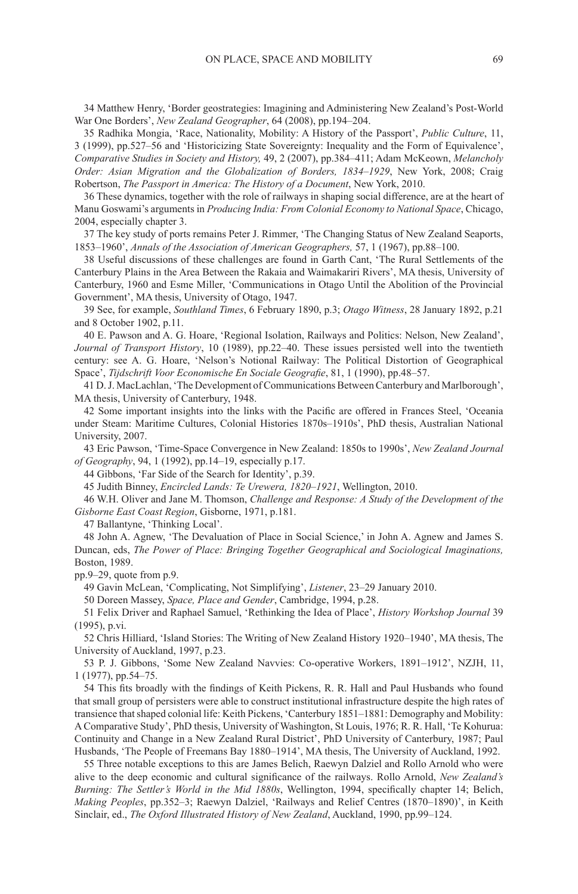34 Matthew Henry, 'Border geostrategies: Imagining and Administering New Zealand's Post-World War One Borders', *New Zealand Geographer*, 64 (2008), pp.194–204.

35 Radhika Mongia, 'Race, Nationality, Mobility: A History of the Passport', *Public Culture*, 11, 3 (1999), pp.527–56 and 'Historicizing State Sovereignty: Inequality and the Form of Equivalence', *Comparative Studies in Society and History,* 49, 2 (2007), pp.384–411; Adam McKeown, *Melancholy Order: Asian Migration and the Globalization of Borders, 1834*–*1929*, New York, 2008; Craig Robertson, *The Passport in America: The History of a Document*, New York, 2010.

36 These dynamics, together with the role of railways in shaping social difference, are at the heart of Manu Goswami's arguments in *Producing India: From Colonial Economy to National Space*, Chicago, 2004, especially chapter 3.

37 The key study of ports remains Peter J. Rimmer, 'The Changing Status of New Zealand Seaports, 1853–1960', *Annals of the Association of American Geographers,* 57, 1 (1967), pp.88–100.

38 Useful discussions of these challenges are found in Garth Cant, 'The Rural Settlements of the Canterbury Plains in the Area Between the Rakaia and Waimakariri Rivers', MA thesis, University of Canterbury, 1960 and Esme Miller, 'Communications in Otago Until the Abolition of the Provincial Government', MA thesis, University of Otago, 1947.

39 See, for example, *Southland Times*, 6 February 1890, p.3; *Otago Witness*, 28 January 1892, p.21 and 8 October 1902, p.11.

40 E. Pawson and A. G. Hoare, 'Regional Isolation, Railways and Politics: Nelson, New Zealand', *Journal of Transport History*, 10 (1989), pp.22–40. These issues persisted well into the twentieth century: see A. G. Hoare, 'Nelson's Notional Railway: The Political Distortion of Geographical Space', *Tijdschrift Voor Economische En Sociale Geografie*, 81, 1 (1990), pp.48–57.

41 D. J. MacLachlan, 'The Development of Communications Between Canterbury and Marlborough', MA thesis, University of Canterbury, 1948.

42 Some important insights into the links with the Pacific are offered in Frances Steel, 'Oceania under Steam: Maritime Cultures, Colonial Histories 1870s–1910s', PhD thesis, Australian National University, 2007.

43 Eric Pawson, 'Time-Space Convergence in New Zealand: 1850s to 1990s', *New Zealand Journal of Geography*, 94, 1 (1992), pp.14–19, especially p.17.

44 Gibbons, 'Far Side of the Search for Identity', p.39.

45 Judith Binney, *Encircled Lands: Te Urewera, 1820*–*1921*, Wellington, 2010.

46 W.H. Oliver and Jane M. Thomson, *Challenge and Response: A Study of the Development of the Gisborne East Coast Region*, Gisborne, 1971, p.181.

47 Ballantyne, 'Thinking Local'.

48 John A. Agnew, 'The Devaluation of Place in Social Science,' in John A. Agnew and James S. Duncan, eds, *The Power of Place: Bringing Together Geographical and Sociological Imaginations,* Boston, 1989.

pp.9–29, quote from p.9.

49 Gavin McLean, 'Complicating, Not Simplifying', *Listener*, 23–29 January 2010.

50 Doreen Massey, *Space, Place and Gender*, Cambridge, 1994, p.28.

51 Felix Driver and Raphael Samuel, 'Rethinking the Idea of Place', *History Workshop Journal* 39 (1995), p.vi.

52 Chris Hilliard, 'Island Stories: The Writing of New Zealand History 1920–1940', MA thesis, The University of Auckland, 1997, p.23.

53 P. J. Gibbons, 'Some New Zealand Navvies: Co-operative Workers, 1891–1912', NZJH, 11, 1 (1977), pp.54–75.

54 This fits broadly with the findings of Keith Pickens, R. R. Hall and Paul Husbands who found that small group of persisters were able to construct institutional infrastructure despite the high rates of transience that shaped colonial life: Keith Pickens, 'Canterbury 1851–1881: Demography and Mobility: A Comparative Study', PhD thesis, University of Washington, St Louis, 1976; R. R. Hall, 'Te Kohurua: Continuity and Change in a New Zealand Rural District', PhD University of Canterbury, 1987; Paul Husbands, 'The People of Freemans Bay 1880–1914', MA thesis, The University of Auckland, 1992.

55 Three notable exceptions to this are James Belich, Raewyn Dalziel and Rollo Arnold who were alive to the deep economic and cultural significance of the railways. Rollo Arnold, *New Zealand's Burning: The Settler's World in the Mid 1880s*, Wellington, 1994, specifically chapter 14; Belich, *Making Peoples*, pp.352–3; Raewyn Dalziel, 'Railways and Relief Centres (1870–1890)', in Keith Sinclair, ed., *The Oxford Illustrated History of New Zealand*, Auckland, 1990, pp.99–124.